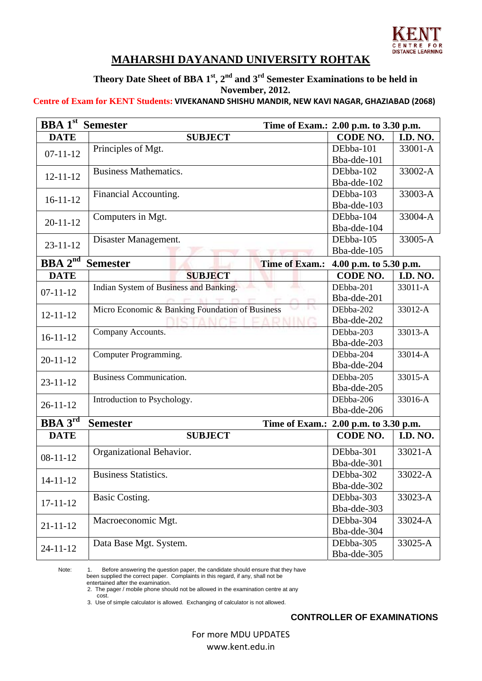

## **MAHARSHI DAYANAND UNIVERSITY ROHTAK**

**Theory Date Sheet of BBA 1st, 2nd and 3rd Semester Examinations to be held in November, 2012.** 

## **Centre of Exam for KENT Students: VIVEKANAND SHISHU MANDIR, NEW KAVI NAGAR, GHAZIABAD (2068)**

| <b>BBA</b> 1 <sup>st</sup> Semester |                                                                    | Time of Exam.: 2.00 p.m. to 3.30 p.m. |                 |  |  |
|-------------------------------------|--------------------------------------------------------------------|---------------------------------------|-----------------|--|--|
| <b>DATE</b>                         | <b>SUBJECT</b>                                                     | CODE NO.                              | <b>I.D. NO.</b> |  |  |
| $07 - 11 - 12$                      | Principles of Mgt.                                                 | DEbba-101                             | 33001-A         |  |  |
|                                     |                                                                    | Bba-dde-101                           |                 |  |  |
| $12 - 11 - 12$                      | <b>Business Mathematics.</b>                                       | DEbba-102                             | 33002-A         |  |  |
|                                     |                                                                    | Bba-dde-102                           |                 |  |  |
| $16 - 11 - 12$                      | Financial Accounting.                                              | DEbba-103                             | 33003-A         |  |  |
|                                     |                                                                    | Bba-dde-103                           |                 |  |  |
| $20 - 11 - 12$                      | Computers in Mgt.                                                  | DEbba-104                             | 33004-A         |  |  |
|                                     |                                                                    | Bba-dde-104                           |                 |  |  |
| $23 - 11 - 12$                      | Disaster Management.                                               | DEbba-105                             | 33005-A         |  |  |
|                                     |                                                                    | Bba-dde-105                           |                 |  |  |
| <b>BBA</b> $2^{nd}$                 | <b>Semester</b><br><b>Time of Exam.:</b><br>4.00 p.m. to 5.30 p.m. |                                       |                 |  |  |
| <b>DATE</b>                         | <b>SUBJECT</b>                                                     | <b>CODE NO.</b>                       | <b>I.D. NO.</b> |  |  |
| $07 - 11 - 12$                      | Indian System of Business and Banking.<br>w                        | DEbba-201                             | 33011-A         |  |  |
|                                     | <b>In</b>                                                          | Bba-dde-201                           |                 |  |  |
| $12 - 11 - 12$                      | Micro Economic & Banking Foundation of Business                    | DEbba-202                             | 33012-A         |  |  |
|                                     | EADNING<br>$\mathcal{L}^{\infty}$ for                              | Bba-dde-202                           |                 |  |  |
| $16 - 11 - 12$                      | Company Accounts.                                                  | DEbba-203                             | 33013-A         |  |  |
|                                     |                                                                    | Bba-dde-203                           |                 |  |  |
| $20 - 11 - 12$                      | Computer Programming.                                              | DEbba-204                             | 33014-A         |  |  |
|                                     |                                                                    | Bba-dde-204                           |                 |  |  |
| $23 - 11 - 12$                      | <b>Business Communication.</b>                                     | DEbba-205                             | 33015-A         |  |  |
|                                     |                                                                    | Bba-dde-205                           |                 |  |  |
| $26 - 11 - 12$                      | Introduction to Psychology.                                        | DEbba-206                             | 33016-A         |  |  |
|                                     |                                                                    | Bba-dde-206                           |                 |  |  |
| <b>BBA</b> $3^{rd}$                 | <b>Semester</b><br>Time of Exam.: 2.00 p.m. to 3.30 p.m.           |                                       |                 |  |  |
| <b>DATE</b>                         | <b>SUBJECT</b>                                                     | CODE NO.                              | <b>I.D. NO.</b> |  |  |
|                                     | Organizational Behavior.                                           | DEbba-301                             | 33021-A         |  |  |
| $08 - 11 - 12$                      |                                                                    | Bba-dde-301                           |                 |  |  |
| $14 - 11 - 12$                      | <b>Business Statistics.</b>                                        | DEbba-302                             | 33022-A         |  |  |
|                                     |                                                                    | Bba-dde-302                           |                 |  |  |
|                                     | Basic Costing.                                                     | DEbba-303                             | 33023-A         |  |  |
| $17 - 11 - 12$                      |                                                                    | Bba-dde-303                           |                 |  |  |
| $21 - 11 - 12$                      | Macroeconomic Mgt.                                                 | DEbba-304                             | 33024-A         |  |  |
|                                     |                                                                    | Bba-dde-304                           |                 |  |  |
| $24 - 11 - 12$                      | Data Base Mgt. System.                                             | DEbba-305                             | 33025-A         |  |  |
|                                     |                                                                    | Bba-dde-305                           |                 |  |  |

Note: 1. Before answering the question paper, the candidate should ensure that they have been supplied the correct paper. Complaints in this regard, if any, shall not be

entertained after the examination.

2. The pager / mobile phone should not be allowed in the examination centre at any

 cost. 3. Use of simple calculator is allowed. Exchanging of calculator is not allowed.

## **CONTROLLER OF EXAMINATIONS**